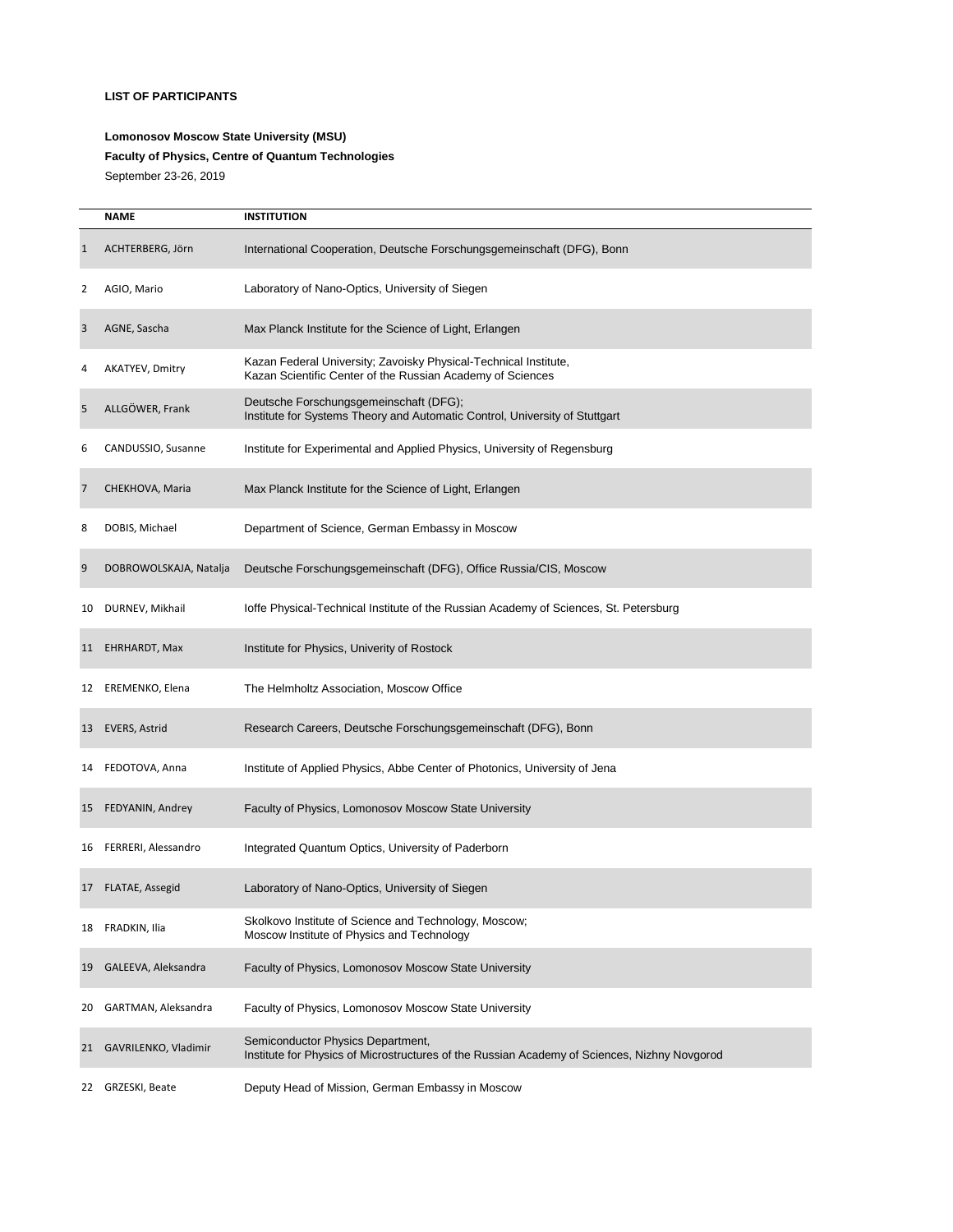## **LIST OF PARTICIPANTS**

## **Lomonosov Moscow State University (MSU) Faculty of Physics, Centre of Quantum Technologies**  September 23-26, 2019

|                | <b>NAME</b>            | <b>INSTITUTION</b>                                                                                                                |
|----------------|------------------------|-----------------------------------------------------------------------------------------------------------------------------------|
| $\mathbf{1}$   | ACHTERBERG, Jörn       | International Cooperation, Deutsche Forschungsgemeinschaft (DFG), Bonn                                                            |
| 2              | AGIO, Mario            | Laboratory of Nano-Optics, University of Siegen                                                                                   |
| 3              | AGNE, Sascha           | Max Planck Institute for the Science of Light, Erlangen                                                                           |
| 4              | AKATYEV, Dmitry        | Kazan Federal University; Zavoisky Physical-Technical Institute,<br>Kazan Scientific Center of the Russian Academy of Sciences    |
| 5              | ALLGÖWER, Frank        | Deutsche Forschungsgemeinschaft (DFG);<br>Institute for Systems Theory and Automatic Control, University of Stuttgart             |
| 6              | CANDUSSIO, Susanne     | Institute for Experimental and Applied Physics, University of Regensburg                                                          |
| $\overline{7}$ | CHEKHOVA, Maria        | Max Planck Institute for the Science of Light, Erlangen                                                                           |
| 8              | DOBIS, Michael         | Department of Science, German Embassy in Moscow                                                                                   |
| 9              | DOBROWOLSKAJA, Natalja | Deutsche Forschungsgemeinschaft (DFG), Office Russia/CIS, Moscow                                                                  |
| 10             | DURNEV, Mikhail        | loffe Physical-Technical Institute of the Russian Academy of Sciences, St. Petersburg                                             |
| 11             | EHRHARDT, Max          | Institute for Physics, Univerity of Rostock                                                                                       |
| 12             | EREMENKO, Elena        | The Helmholtz Association, Moscow Office                                                                                          |
| 13             | EVERS, Astrid          | Research Careers, Deutsche Forschungsgemeinschaft (DFG), Bonn                                                                     |
| 14             | FEDOTOVA, Anna         | Institute of Applied Physics, Abbe Center of Photonics, University of Jena                                                        |
| 15             | FEDYANIN, Andrey       | Faculty of Physics, Lomonosov Moscow State University                                                                             |
| 16             | FERRERI, Alessandro    | Integrated Quantum Optics, University of Paderborn                                                                                |
| 17             | FLATAE, Assegid        | Laboratory of Nano-Optics, University of Siegen                                                                                   |
| 18             | FRADKIN, Ilia          | Skolkovo Institute of Science and Technology, Moscow;<br>Moscow Institute of Physics and Technology                               |
| 19             | GALEEVA, Aleksandra    | Faculty of Physics, Lomonosov Moscow State University                                                                             |
| 20             | GARTMAN, Aleksandra    | Faculty of Physics, Lomonosov Moscow State University                                                                             |
| 21             | GAVRILENKO, Vladimir   | Semiconductor Physics Department,<br>Institute for Physics of Microstructures of the Russian Academy of Sciences, Nizhny Novgorod |
|                | 22 GRZESKI, Beate      | Deputy Head of Mission, German Embassy in Moscow                                                                                  |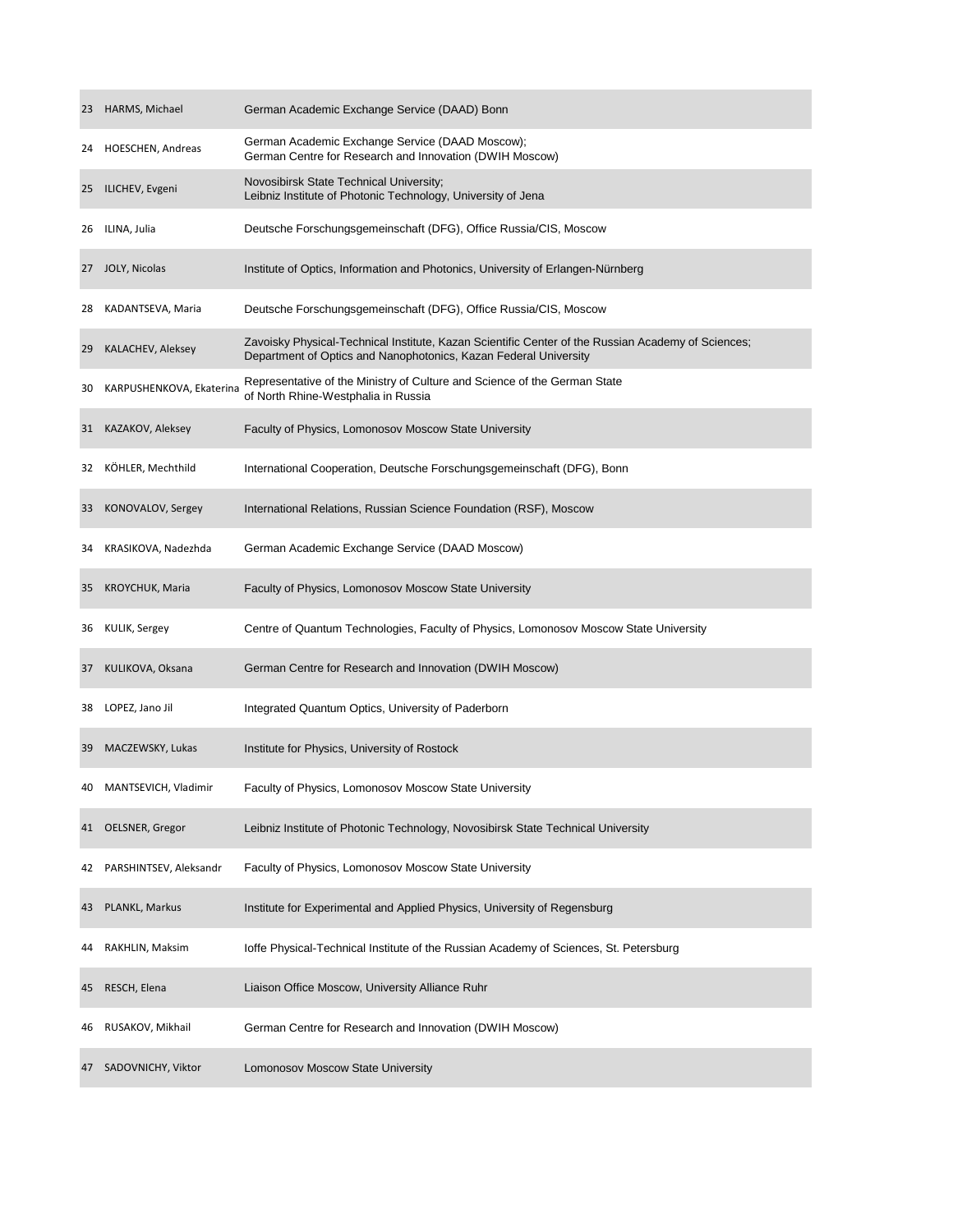| 23 | HARMS, Michael           | German Academic Exchange Service (DAAD) Bonn                                                                                                                           |
|----|--------------------------|------------------------------------------------------------------------------------------------------------------------------------------------------------------------|
| 24 | HOESCHEN, Andreas        | German Academic Exchange Service (DAAD Moscow);<br>German Centre for Research and Innovation (DWIH Moscow)                                                             |
| 25 | ILICHEV, Evgeni          | Novosibirsk State Technical University;<br>Leibniz Institute of Photonic Technology, University of Jena                                                                |
| 26 | ILINA, Julia             | Deutsche Forschungsgemeinschaft (DFG), Office Russia/CIS, Moscow                                                                                                       |
| 27 | JOLY, Nicolas            | Institute of Optics, Information and Photonics, University of Erlangen-Nürnberg                                                                                        |
| 28 | KADANTSEVA, Maria        | Deutsche Forschungsgemeinschaft (DFG), Office Russia/CIS, Moscow                                                                                                       |
| 29 | KALACHEV, Aleksey        | Zavoisky Physical-Technical Institute, Kazan Scientific Center of the Russian Academy of Sciences;<br>Department of Optics and Nanophotonics, Kazan Federal University |
| 30 | KARPUSHENKOVA, Ekaterina | Representative of the Ministry of Culture and Science of the German State<br>of North Rhine-Westphalia in Russia                                                       |
| 31 | KAZAKOV, Aleksey         | Faculty of Physics, Lomonosov Moscow State University                                                                                                                  |
| 32 | KÖHLER, Mechthild        | International Cooperation, Deutsche Forschungsgemeinschaft (DFG), Bonn                                                                                                 |
| 33 | KONOVALOV, Sergey        | International Relations, Russian Science Foundation (RSF), Moscow                                                                                                      |
| 34 | KRASIKOVA, Nadezhda      | German Academic Exchange Service (DAAD Moscow)                                                                                                                         |
| 35 | KROYCHUK, Maria          | Faculty of Physics, Lomonosov Moscow State University                                                                                                                  |
| 36 | KULIK, Sergey            | Centre of Quantum Technologies, Faculty of Physics, Lomonosov Moscow State University                                                                                  |
| 37 | KULIKOVA, Oksana         | German Centre for Research and Innovation (DWIH Moscow)                                                                                                                |
| 38 | LOPEZ, Jano Jil          | Integrated Quantum Optics, University of Paderborn                                                                                                                     |
| 39 | MACZEWSKY, Lukas         | Institute for Physics, University of Rostock                                                                                                                           |
| 40 | MANTSEVICH, Vladimir     | Faculty of Physics, Lomonosov Moscow State University                                                                                                                  |
| 41 | OELSNER, Gregor          | Leibniz Institute of Photonic Technology, Novosibirsk State Technical University                                                                                       |
| 42 | PARSHINTSEV, Aleksandr   | Faculty of Physics, Lomonosov Moscow State University                                                                                                                  |
| 43 | PLANKL, Markus           | Institute for Experimental and Applied Physics, University of Regensburg                                                                                               |
| 44 | RAKHLIN, Maksim          | loffe Physical-Technical Institute of the Russian Academy of Sciences, St. Petersburg                                                                                  |
| 45 | RESCH, Elena             | Liaison Office Moscow, University Alliance Ruhr                                                                                                                        |
| 46 | RUSAKOV, Mikhail         | German Centre for Research and Innovation (DWIH Moscow)                                                                                                                |
| 47 | SADOVNICHY, Viktor       | Lomonosov Moscow State University                                                                                                                                      |

**Contract Contract**